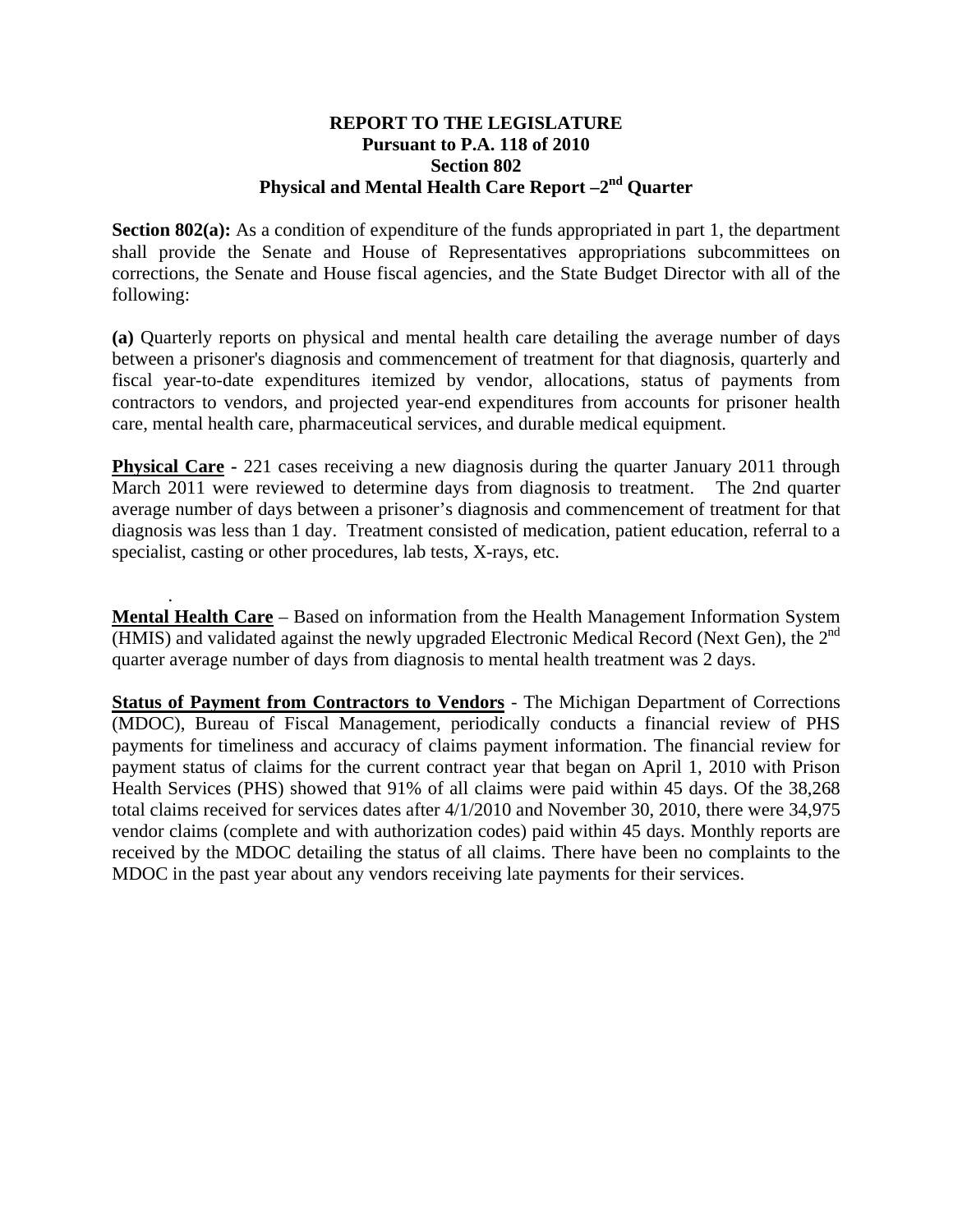## **REPORT TO THE LEGISLATURE Pursuant to P.A. 118 of 2010 Section 802 Physical and Mental Health Care Report –2nd Quarter**

**Section 802(a):** As a condition of expenditure of the funds appropriated in part 1, the department shall provide the Senate and House of Representatives appropriations subcommittees on corrections, the Senate and House fiscal agencies, and the State Budget Director with all of the following:

**(a)** Quarterly reports on physical and mental health care detailing the average number of days between a prisoner's diagnosis and commencement of treatment for that diagnosis, quarterly and fiscal year-to-date expenditures itemized by vendor, allocations, status of payments from contractors to vendors, and projected year-end expenditures from accounts for prisoner health care, mental health care, pharmaceutical services, and durable medical equipment.

**Physical Care -** 221 cases receiving a new diagnosis during the quarter January 2011 through March 2011 were reviewed to determine days from diagnosis to treatment. The 2nd quarter average number of days between a prisoner's diagnosis and commencement of treatment for that diagnosis was less than 1 day. Treatment consisted of medication, patient education, referral to a specialist, casting or other procedures, lab tests, X-rays, etc.

 . **Mental Health Care** – Based on information from the Health Management Information System (HMIS) and validated against the newly upgraded Electronic Medical Record (Next Gen), the  $2<sup>nd</sup>$ quarter average number of days from diagnosis to mental health treatment was 2 days.

**Status of Payment from Contractors to Vendors** - The Michigan Department of Corrections (MDOC), Bureau of Fiscal Management, periodically conducts a financial review of PHS payments for timeliness and accuracy of claims payment information. The financial review for payment status of claims for the current contract year that began on April 1, 2010 with Prison Health Services (PHS) showed that 91% of all claims were paid within 45 days. Of the 38,268 total claims received for services dates after 4/1/2010 and November 30, 2010, there were 34,975 vendor claims (complete and with authorization codes) paid within 45 days. Monthly reports are received by the MDOC detailing the status of all claims. There have been no complaints to the MDOC in the past year about any vendors receiving late payments for their services.